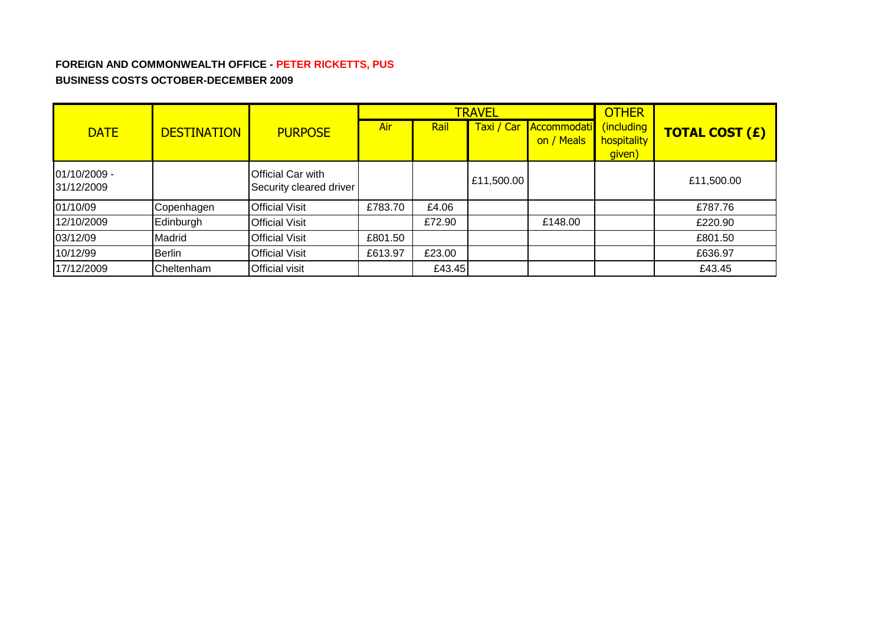# **FOREIGN AND COMMONWEALTH OFFICE - PETER RICKETTS, PUS BUSINESS COSTS OCTOBER-DECEMBER 2009**

|                            |                    |                                              |         |        | <b>TRAVEL</b> | <b>OTHER</b>              |                                     |                       |
|----------------------------|--------------------|----------------------------------------------|---------|--------|---------------|---------------------------|-------------------------------------|-----------------------|
| <b>DATE</b>                | <b>DESTINATION</b> | <b>PURPOSE</b>                               | Air     | Rail   | Taxi / Car    | Accommodati<br>on / Meals | (including<br>hospitality<br>given) | <b>TOTAL COST (£)</b> |
| 01/10/2009 -<br>31/12/2009 |                    | Official Car with<br>Security cleared driver |         |        | £11,500.00    |                           |                                     | £11,500.00            |
| 01/10/09                   | Copenhagen         | <b>Official Visit</b>                        | £783.70 | £4.06  |               |                           |                                     | £787.76               |
| 12/10/2009                 | Edinburgh          | <b>Official Visit</b>                        |         | £72.90 |               | £148.00                   |                                     | £220.90               |
| 03/12/09                   | Madrid             | <b>Official Visit</b>                        | £801.50 |        |               |                           |                                     | £801.50               |
| 10/12/99                   | <b>Berlin</b>      | <b>Official Visit</b>                        | £613.97 | £23.00 |               |                           |                                     | £636.97               |
| 17/12/2009                 | Cheltenham         | Official visit                               |         | £43.45 |               |                           |                                     | £43.45                |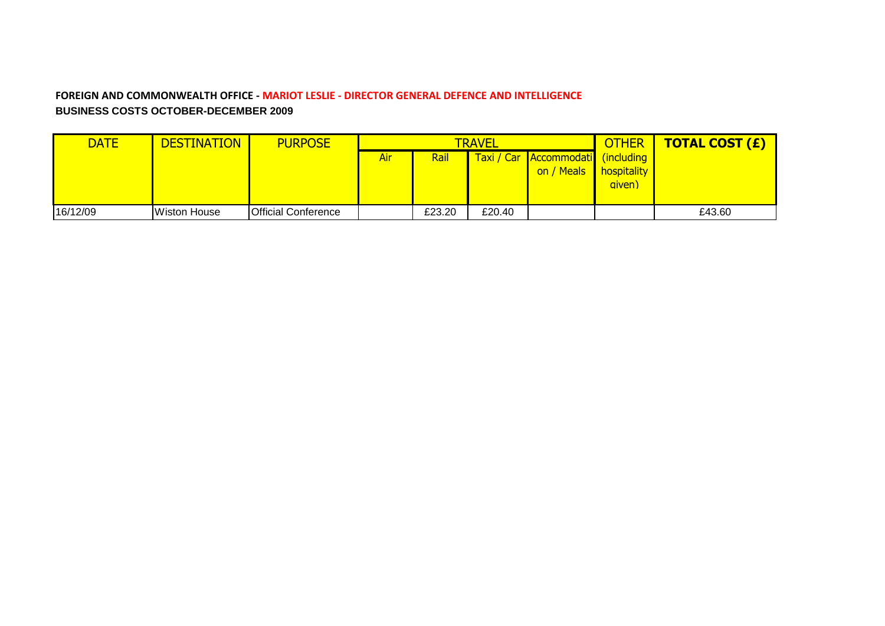#### **FOREIGN AND COMMONWEALTH OFFICE - MARIOT LESLIE - DIRECTOR GENERAL DEFENCE AND INTELLIGENCE BUSINESS COSTS OCTOBER-DECEMBER 2009**

| <b>DATE</b> | DESTINATION  | <b>PURPOSE</b>             | <b>TRAVEL</b> |        |        |                                                 | <b>OTHER</b>                 | <b>TOTAL COST (£)</b> |
|-------------|--------------|----------------------------|---------------|--------|--------|-------------------------------------------------|------------------------------|-----------------------|
|             |              |                            | Air           | Rail   |        | Taxi / Car Accommodati (including<br>on / Meals | <b>hospitality</b><br>given) |                       |
| 16/12/09    | Wiston House | <b>Official Conference</b> |               | £23.20 | £20.40 |                                                 |                              | £43.60                |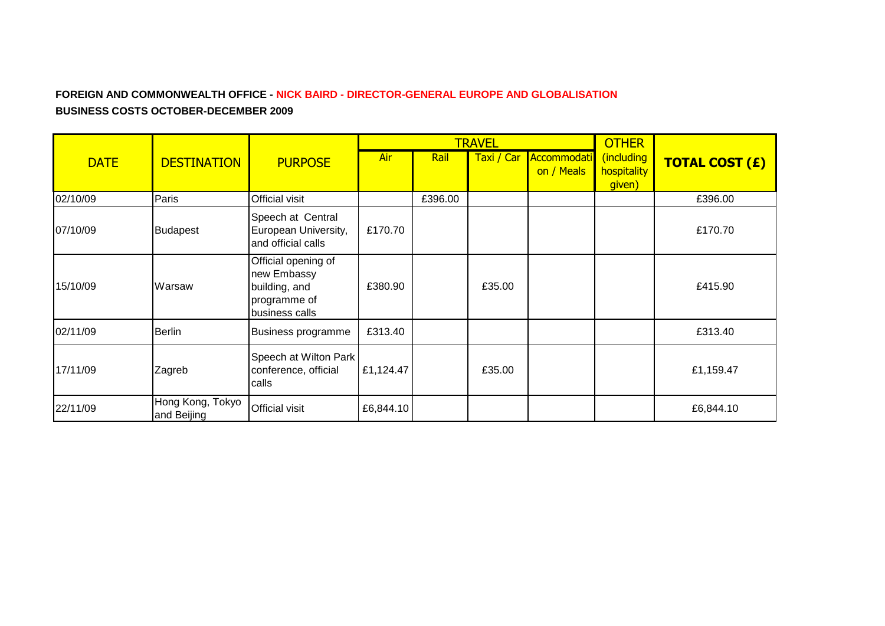### **FOREIGN AND COMMONWEALTH OFFICE - NICK BAIRD - DIRECTOR-GENERAL EUROPE AND GLOBALISATION BUSINESS COSTS OCTOBER-DECEMBER 2009**

|             |                                 |                                                                                       |           |         | <b>TRAVEL</b> | <b>OTHER</b>              |                                     |                       |
|-------------|---------------------------------|---------------------------------------------------------------------------------------|-----------|---------|---------------|---------------------------|-------------------------------------|-----------------------|
| <b>DATE</b> | <b>DESTINATION</b>              | <b>PURPOSE</b>                                                                        | Air       | Rail    | Taxi / Car    | Accommodati<br>on / Meals | (including<br>hospitality<br>given) | <b>TOTAL COST (£)</b> |
| 02/10/09    | Paris                           | <b>Official visit</b>                                                                 |           | £396.00 |               |                           |                                     | £396.00               |
| 07/10/09    | <b>Budapest</b>                 | Speech at Central<br>European University,<br>and official calls                       | £170.70   |         |               |                           |                                     | £170.70               |
| 15/10/09    | Warsaw                          | Official opening of<br>new Embassy<br>building, and<br>programme of<br>business calls | £380.90   |         | £35.00        |                           |                                     | £415.90               |
| 02/11/09    | <b>Berlin</b>                   | Business programme                                                                    | £313.40   |         |               |                           |                                     | £313.40               |
| 17/11/09    | Zagreb                          | Speech at Wilton Park<br>conference, official<br>calls                                | £1,124.47 |         | £35.00        |                           |                                     | £1,159.47             |
| 22/11/09    | Hong Kong, Tokyo<br>and Beijing | <b>Official visit</b>                                                                 | £6,844.10 |         |               |                           |                                     | £6,844.10             |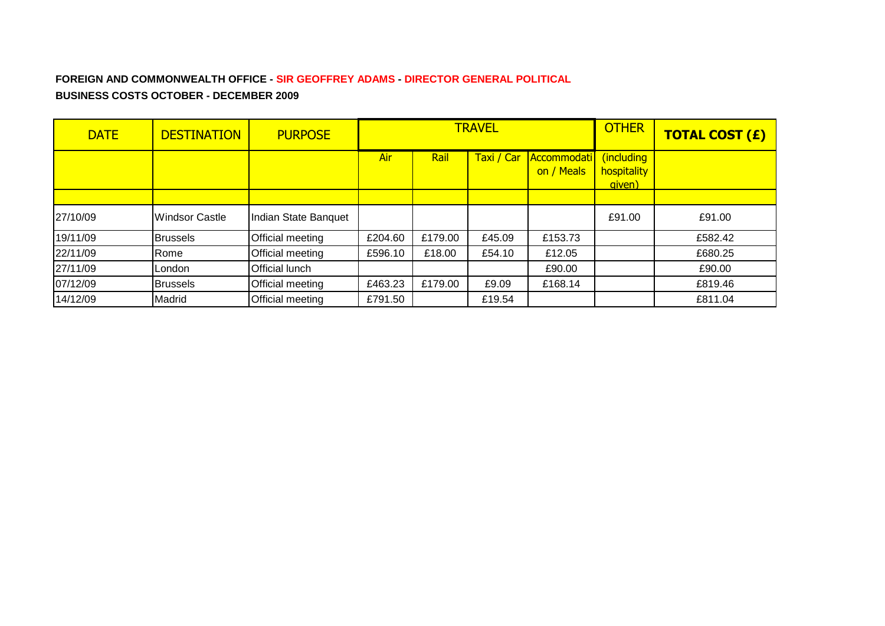## **FOREIGN AND COMMONWEALTH OFFICE - SIR GEOFFREY ADAMS - DIRECTOR GENERAL POLITICAL BUSINESS COSTS OCTOBER - DECEMBER 2009**

| <b>DATE</b> | <b>DESTINATION</b> | <b>PURPOSE</b>          |         |             | <b>TRAVEL</b> | <b>OTHER</b>              | <b>TOTAL COST (£)</b>               |         |
|-------------|--------------------|-------------------------|---------|-------------|---------------|---------------------------|-------------------------------------|---------|
|             |                    |                         | Air     | <b>Rail</b> | Taxi / Car    | Accommodati<br>on / Meals | (including<br>hospitality<br>aiven) |         |
|             |                    |                         |         |             |               |                           |                                     |         |
| 27/10/09    | Windsor Castle     | Indian State Banquet    |         |             |               |                           | £91.00                              | £91.00  |
| 19/11/09    | <b>Brussels</b>    | Official meeting        | £204.60 | £179.00     | £45.09        | £153.73                   |                                     | £582.42 |
| 22/11/09    | Rome               | <b>Official meeting</b> | £596.10 | £18.00      | £54.10        | £12.05                    |                                     | £680.25 |
| 27/11/09    | London             | <b>Official lunch</b>   |         |             |               | £90.00                    |                                     | £90.00  |
| 07/12/09    | <b>Brussels</b>    | Official meeting        | £463.23 | £179.00     | £9.09         | £168.14                   |                                     | £819.46 |
| 14/12/09    | Madrid             | Official meeting        | £791.50 |             | £19.54        |                           |                                     | £811.04 |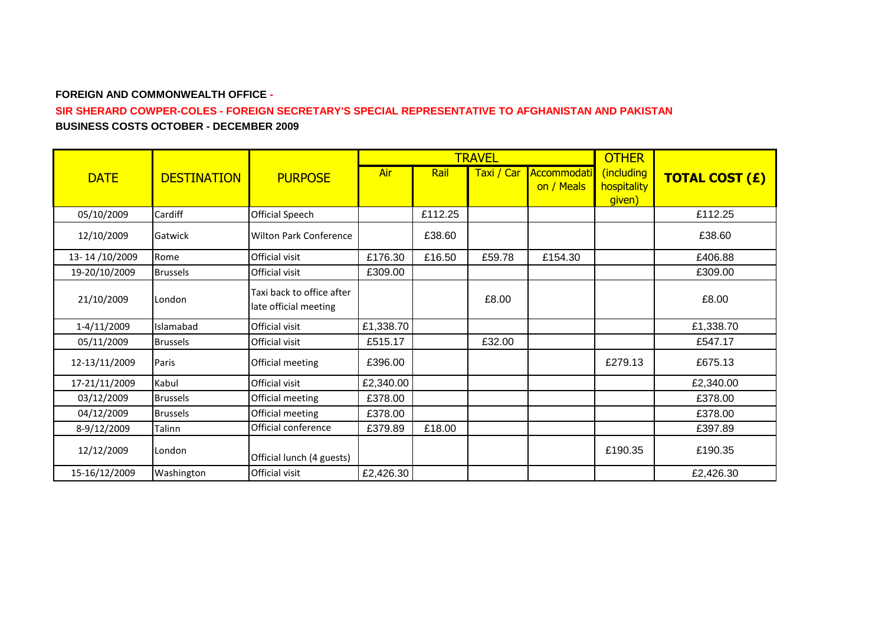#### **FOREIGN AND COMMONWEALTH OFFICE -**

#### **SIR SHERARD COWPER-COLES - FOREIGN SECRETARY'S SPECIAL REPRESENTATIVE TO AFGHANISTAN AND PAKISTAN BUSINESS COSTS OCTOBER - DECEMBER 2009**

|               |                    |                                                    |           |         | <b>TRAVEL</b> | <b>OTHER</b> |                       |                       |
|---------------|--------------------|----------------------------------------------------|-----------|---------|---------------|--------------|-----------------------|-----------------------|
| <b>DATE</b>   | <b>DESTINATION</b> | <b>PURPOSE</b>                                     | Air       | Rail    | Taxi / Car    | Accommodati  | (including            | <b>TOTAL COST (£)</b> |
|               |                    |                                                    |           |         |               | on / Meals   | hospitality<br>given) |                       |
| 05/10/2009    | Cardiff            | Official Speech                                    |           | £112.25 |               |              |                       | £112.25               |
| 12/10/2009    | Gatwick            | <b>Wilton Park Conference</b>                      |           | £38.60  |               |              |                       | £38.60                |
| 13-14/10/2009 | Rome               | Official visit                                     | £176.30   | £16.50  | £59.78        | £154.30      |                       | £406.88               |
| 19-20/10/2009 | <b>Brussels</b>    | <b>Official visit</b>                              | £309.00   |         |               |              |                       | £309.00               |
| 21/10/2009    | London             | Taxi back to office after<br>late official meeting |           |         | £8.00         |              |                       | £8.00                 |
| 1-4/11/2009   | Islamabad          | Official visit                                     | £1,338.70 |         |               |              |                       | £1,338.70             |
| 05/11/2009    | <b>Brussels</b>    | Official visit                                     | £515.17   |         | £32.00        |              |                       | £547.17               |
| 12-13/11/2009 | Paris              | Official meeting                                   | £396.00   |         |               |              | £279.13               | £675.13               |
| 17-21/11/2009 | Kabul              | Official visit                                     | £2,340.00 |         |               |              |                       | £2,340.00             |
| 03/12/2009    | <b>Brussels</b>    | Official meeting                                   | £378.00   |         |               |              |                       | £378.00               |
| 04/12/2009    | <b>Brussels</b>    | Official meeting                                   | £378.00   |         |               |              |                       | £378.00               |
| 8-9/12/2009   | Talinn             | Official conference                                | £379.89   | £18.00  |               |              |                       | £397.89               |
| 12/12/2009    | London             | Official lunch (4 guests)                          |           |         |               |              | £190.35               | £190.35               |
| 15-16/12/2009 | Washington         | Official visit                                     | £2,426.30 |         |               |              |                       | £2,426.30             |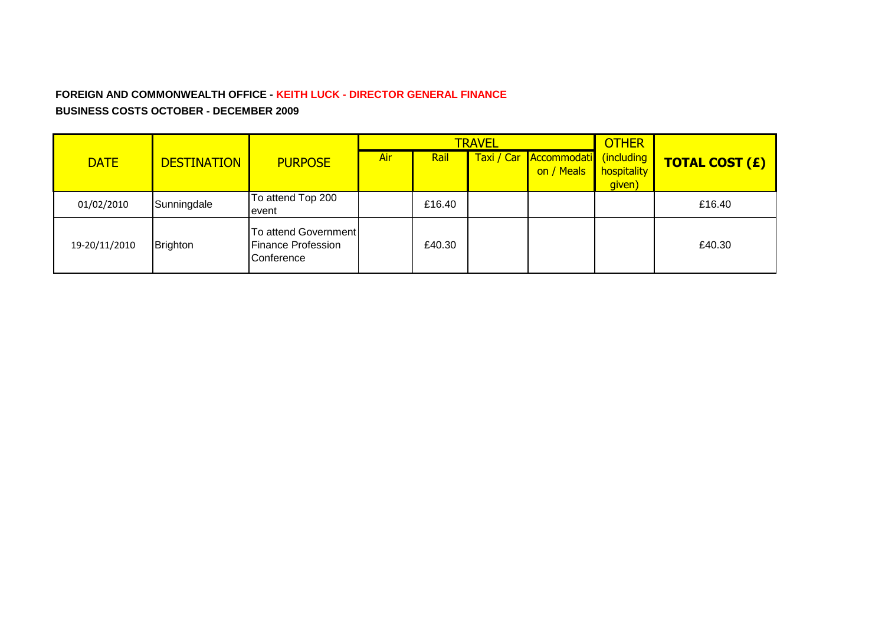### **FOREIGN AND COMMONWEALTH OFFICE - KEITH LUCK - DIRECTOR GENERAL FINANCE BUSINESS COSTS OCTOBER - DECEMBER 2009**

|               |                    |                                                                 |     |        | <b>TRAVEL</b> | <b>OTHER</b>                         |                                     |                       |
|---------------|--------------------|-----------------------------------------------------------------|-----|--------|---------------|--------------------------------------|-------------------------------------|-----------------------|
| <b>DATE</b>   | <b>DESTINATION</b> | <b>PURPOSE</b>                                                  | Air | Rail   |               | Taxi / Car Accommodati<br>on / Meals | (including<br>hospitality<br>given) | <b>TOTAL COST (£)</b> |
| 01/02/2010    | Sunningdale        | To attend Top 200<br>Ievent                                     |     | £16.40 |               |                                      |                                     | £16.40                |
| 19-20/11/2010 | Brighton           | To attend Government<br><b>Finance Profession</b><br>Conference |     | £40.30 |               |                                      |                                     | £40.30                |